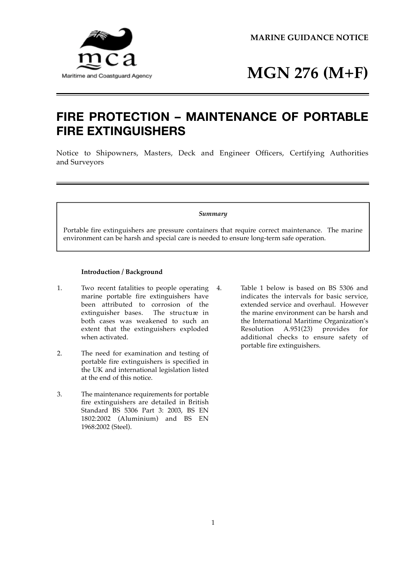**MARINE GUIDANCE NOTICE** 



# **MGN 276 (M+F)**

## **FIRE PROTECTION – MAINTENANCE OF PORTABLE FIRE EXTINGUISHERS**

 Notice to Shipowners, Masters, Deck and Engineer Officers, Certifying Authorities and Surveyors

#### *Summary*

Portable fire extinguishers are pressure containers that require correct maintenance. The marine environment can be harsh and special care is needed to ensure long-term safe operation.

### **Introduction / Background**

- 1. Two recent fatalities to people operating 4. marine portable fire extinguishers have been attributed to corrosion of the extinguisher bases. The structure in both cases was weakened to such an extent that the extinguishers exploded when activated.
- 2. The need for examination and testing of portable fire extinguishers is specified in the UK and international legislation listed at the end of this notice.
- 3. The maintenance requirements for portable fire extinguishers are detailed in British Standard BS 5306 Part 3: 2003, BS EN 1802:2002 (Aluminium) and BS EN 1968:2002 (Steel).
- Table 1 below is based on BS 5306 and indicates the intervals for basic service, extended service and overhaul. However the marine environment can be harsh and the International Maritime Organization's Resolution A.951(23) provides for additional checks to ensure safety of portable fire extinguishers.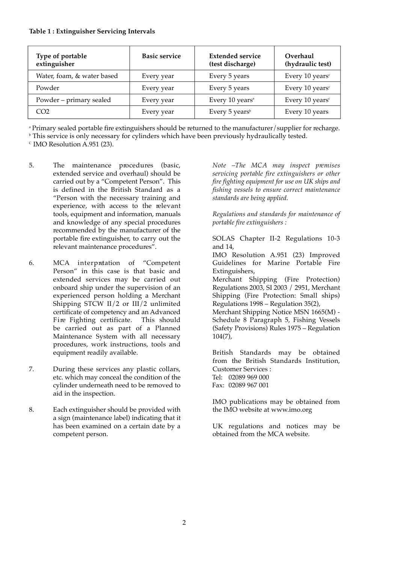| Type of portable<br>extinguisher | <b>Basic service</b> | <b>Extended service</b><br>(test discharge) | Overhaul<br>(hydraulic test)               |
|----------------------------------|----------------------|---------------------------------------------|--------------------------------------------|
| Water, foam, & water based       | Every year           | Every 5 years                               | Every 10 years <sup>c</sup>                |
| Powder                           | Every year           | Every 5 years                               | Every 10 years <sup>c</sup>                |
| Powder - primary sealed          | Every year           | Every 10 years <sup>a</sup>                 | Every $10$ years <sup><math>c</math></sup> |
| CO <sub>2</sub>                  | Every year           | Every 5 years <sup>b</sup>                  | Every 10 years                             |

<sup>a</sup> Primary sealed portable fire extinguishers should be returned to the manufacturer/supplier for recharge.<br><sup>b</sup> This service is only necessary for cylinders which have been previously hydraulically tested.<br><sup>c</sup> IMO Resolu

- 5. The maintenance procedures (basic, extended service and overhaul) should be carried out by a "Competent Person". This is defined in the British Standard as a "Person with the necessary training and experience, with access to the relevant tools, equipment and information, manuals and knowledge of any special procedures recommended by the manufacturer of the portable fire extinguisher, to carry out the relevant maintenance procedures".
- 6. MCA interpretation of "Competent Person" in this case is that basic and extended services may be carried out onboard ship under the supervision of an experienced person holding a Merchant Shipping STCW II/2 or III/2 unlimited certificate of competency and an Advanced Fire Fighting certificate. This should be carried out as part of a Planned Maintenance System with all necessary procedures, work instructions, tools and equipment readily available.
- 7. During these services any plastic collars, etc. which may conceal the condition of the cylinder underneath need to be removed to aid in the inspection.
- 8. Each extinguisher should be provided with a sign (maintenance label) indicating that it has been examined on a certain date by a competent person.

Note –The MCA may inspect premises *servicing portable fire extinguishers or other fire fighting equipment for use on UK ships and fishing vessels to ensure correct maintenance standards are being applied.* 

*Regulations and standards for maintenance of portable fire extinguishers :* 

 SOLAS Chapter II-2 Regulations 10-3 and 14,

IMO Resolution A.951 (23) Improved Guidelines for Marine Portable Fire Extinguishers,

Merchant Shipping (Fire Protection) Shipping (Fire Protection: Small ships) Regulations 2003, SI 2003 / 2951, Merchant Regulations 1998 – Regulation 35(2),

Merchant Shipping Notice MSN 1665(M) - Schedule 8 Paragraph 5, Fishing Vessels (Safety Provisions) Rules 1975 – Regulation 104(7),

 British Standards may be obtained from the British Standards Institution, Customer Services :

Tel: 02089 969 000 Fax: 02089 967 001

IMO publications may be obtained from the IMO website at www.imo.org

 UK regulations and notices may be obtained from the MCA website.